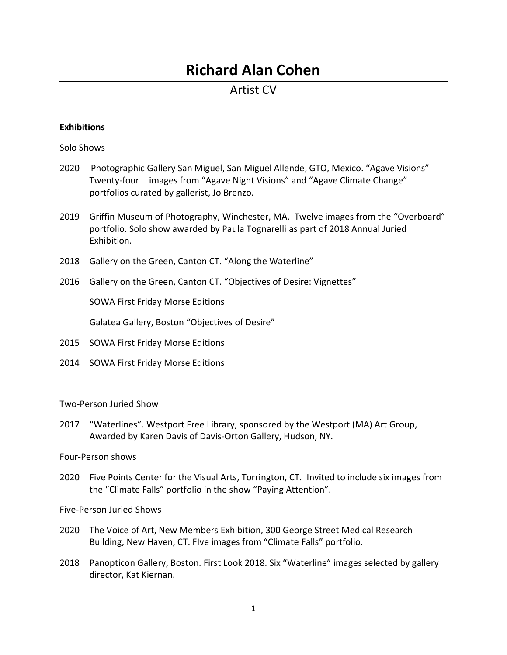# **Richard Alan Cohen**

## Artist CV

### **Exhibitions**

Solo Shows

- 2020 Photographic Gallery San Miguel, San Miguel Allende, GTO, Mexico. "Agave Visions" Twenty-four images from "Agave Night Visions" and "Agave Climate Change" portfolios curated by gallerist, Jo Brenzo.
- 2019 Griffin Museum of Photography, Winchester, MA. Twelve images from the "Overboard" portfolio. Solo show awarded by Paula Tognarelli as part of 2018 Annual Juried Exhibition.
- 2018 Gallery on the Green, Canton CT. "Along the Waterline"
- 2016 Gallery on the Green, Canton CT. "Objectives of Desire: Vignettes"

SOWA First Friday Morse Editions

Galatea Gallery, Boston "Objectives of Desire"

- 2015 SOWA First Friday Morse Editions
- 2014 SOWA First Friday Morse Editions

Two-Person Juried Show

2017 "Waterlines". Westport Free Library, sponsored by the Westport (MA) Art Group, Awarded by Karen Davis of Davis-Orton Gallery, Hudson, NY.

Four-Person shows

2020 Five Points Center for the Visual Arts, Torrington, CT. Invited to include six images from the "Climate Falls" portfolio in the show "Paying Attention".

Five-Person Juried Shows

- 2020 The Voice of Art, New Members Exhibition, 300 George Street Medical Research Building, New Haven, CT. FIve images from "Climate Falls" portfolio.
- 2018 Panopticon Gallery, Boston. First Look 2018. Six "Waterline" images selected by gallery director, Kat Kiernan.